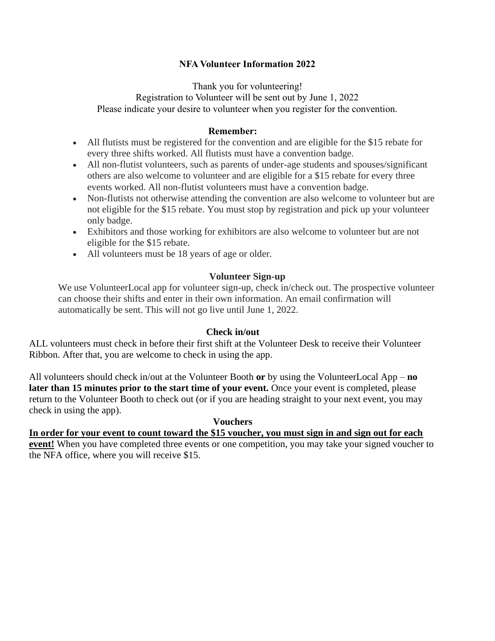# **NFA Volunteer Information 2022**

Thank you for volunteering! Registration to Volunteer will be sent out by June 1, 2022 Please indicate your desire to volunteer when you register for the convention.

#### **Remember:**

- All flutists must be registered for the convention and are eligible for the \$15 rebate for every three shifts worked. All flutists must have a convention badge.
- All non-flutist volunteers, such as parents of under-age students and spouses/significant others are also welcome to volunteer and are eligible for a \$15 rebate for every three events worked. All non-flutist volunteers must have a convention badge.
- Non-flutists not otherwise attending the convention are also welcome to volunteer but are not eligible for the \$15 rebate. You must stop by registration and pick up your volunteer only badge.
- Exhibitors and those working for exhibitors are also welcome to volunteer but are not eligible for the \$15 rebate.
- All volunteers must be 18 years of age or older.

## **Volunteer Sign-up**

We use VolunteerLocal app for volunteer sign-up, check in/check out. The prospective volunteer can choose their shifts and enter in their own information. An email confirmation will automatically be sent. This will not go live until June 1, 2022.

## **Check in/out**

ALL volunteers must check in before their first shift at the Volunteer Desk to receive their Volunteer Ribbon. After that, you are welcome to check in using the app.

All volunteers should check in/out at the Volunteer Booth **or** by using the VolunteerLocal App – **no later than 15 minutes prior to the start time of your event.** Once your event is completed, please return to the Volunteer Booth to check out (or if you are heading straight to your next event, you may check in using the app).

#### **Vouchers**

**In order for your event to count toward the \$15 voucher, you must sign in and sign out for each event!** When you have completed three events or one competition, you may take your signed voucher to the NFA office, where you will receive \$15.